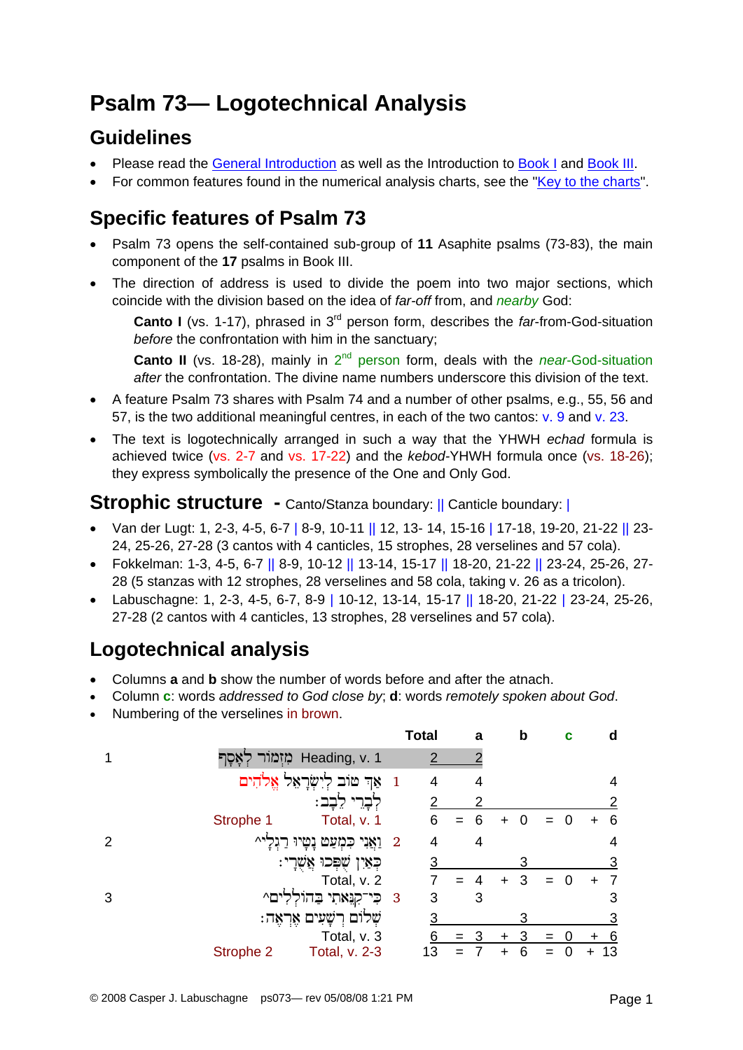# **Psalm 73— Logotechnical Analysis**

### **Guidelines**

- Please read the [General Introduction](http://www.labuschagne.nl/aspects.pdf) as well as the Introduction to [Book I](http://www.labuschagne.nl/intro1.pdf) and [Book III](http://www.labuschagne.nl/intro3.pdf).
- For common features found in the numerical analysis charts, see the "[Key to the charts](http://www.labuschagne.nl/keytocharts.pdf)".

### **Specific features of Psalm 73**

- Psalm 73 opens the self-contained sub-group of **11** Asaphite psalms (73-83), the main component of the **17** psalms in Book III.
- The direction of address is used to divide the poem into two major sections, which coincide with the division based on the idea of *far-off* from, and *nearby* God:

**Canto I** (vs. 1-17), phrased in 3<sup>rd</sup> person form, describes the *far-from-God-situation before* the confrontation with him in the sanctuary;

**Canto II** (vs. 18-28), mainly in 2<sup>nd</sup> person form, deals with the *near-*God-situation *after* the confrontation. The divine name numbers underscore this division of the text.

- A feature Psalm 73 shares with Psalm 74 and a number of other psalms, e.g., 55, 56 and 57, is the two additional meaningful centres, in each of the two cantos: v. 9 and v. 23.
- The text is logotechnically arranged in such a way that the YHWH *echad* formula is achieved twice (vs. 2-7 and vs. 17-22) and the *kebod-*YHWH formula once (vs. 18-26); they express symbolically the presence of the One and Only God.

#### **Strophic structure -** Canto/Stanza boundary: || Canticle boundary: |

- Van der Lugt: 1, 2-3, 4-5, 6-7 | 8-9, 10-11 || 12, 13- 14, 15-16 | 17-18, 19-20, 21-22 || 23- 24, 25-26, 27-28 (3 cantos with 4 canticles, 15 strophes, 28 verselines and 57 cola).
- Fokkelman: 1-3, 4-5, 6-7 || 8-9, 10-12 || 13-14, 15-17 || 18-20, 21-22 || 23-24, 25-26, 27- 28 (5 stanzas with 12 strophes, 28 verselines and 58 cola, taking v. 26 as a tricolon).
- Labuschagne: 1, 2-3, 4-5, 6-7, 8-9 | 10-12, 13-14, 15-17 || 18-20, 21-22 | 23-24, 25-26, 27-28 (2 cantos with 4 canticles, 13 strophes, 28 verselines and 57 cola).

## **Logotechnical analysis**

- Columns **a** and **b** show the number of words before and after the atnach.
- Column **c**: words *addressed to God close by*; **d**: words *remotely spoken about God*.
- Numbering of the verselines in brown.

|   |                                | <b>Total</b>                 | a   | b | c | d        |
|---|--------------------------------|------------------------------|-----|---|---|----------|
|   | Heading, v. 1 מִזְמוֹר לְאָסָף |                              |     |   |   |          |
|   | אַד טוֹב לְיִשְׂרָאֵל אֱלֹהִים | $\overline{1}$               |     |   |   | 4        |
|   | ּלֵבָֽב                        |                              |     |   |   | 2        |
|   | Total, v. 1<br>Strophe 1       | 6                            |     |   |   | 6        |
| 2 | 2 וַאֲנִי כִּמְעַט<br>Λ۳       | 4                            | 4   |   |   | 4        |
|   | ּכְאַיִן שֶׁפְּכוּ אֲשֶׁרָי    | 3                            |     | 3 |   | 3        |
|   | Total, v. 2                    |                              |     |   |   |          |
| 3 | כִּי־קִנָּאתִי בַּד<br>ים^     | 3<br>$\overline{\mathbf{3}}$ | 3   |   |   | 3        |
|   | שְׁלוֹם רְשָׁעִים אֶרְאֶה:     | 3                            |     | 3 |   | <u>3</u> |
|   | Total, v. 3                    | 6                            | $=$ | ÷ |   | <u>6</u> |
|   | Strophe 2<br>Total, v. 2-3     | 13                           |     |   |   | 13       |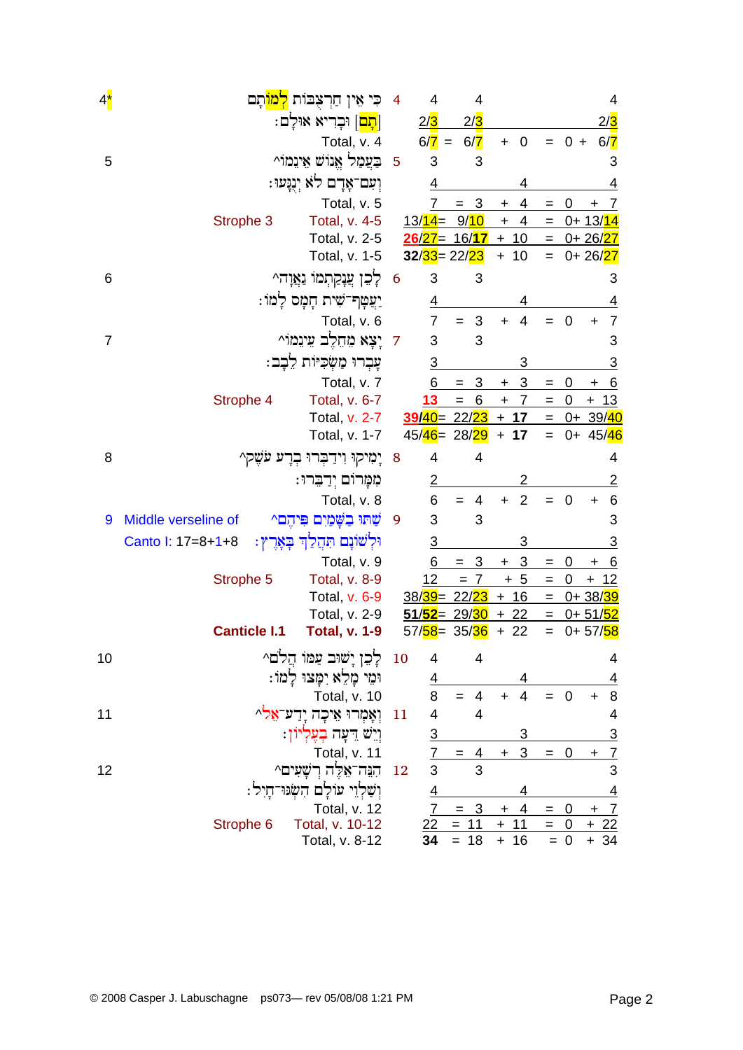| $4^{\star}$ | כִּי אֵין חַרִצְבּוֹת <mark>לִמוֹ</mark> תָם          | 4               | 4                    | 4                     |           |                |                                   |                   |                              | 4               |
|-------------|-------------------------------------------------------|-----------------|----------------------|-----------------------|-----------|----------------|-----------------------------------|-------------------|------------------------------|-----------------|
|             | <mark>תָם</mark>   וּבָרִיא אוּלַם:                   |                 | 2/3                  | 2/3                   |           |                |                                   |                   |                              | <u>2/3</u>      |
|             | Total, v. 4                                           |                 | $6/7 =$              | 6/7                   | $\ddot{}$ | $\mathbf 0$    |                                   | $= 0 +$           |                              | 6/7             |
| 5           | בַעֲמַל אֱנוֹשׁ אֵינֵמוֹ^                             | $\overline{5}$  | 3                    | 3                     |           |                |                                   |                   |                              | 3               |
|             | וִעִם־אָרָם לֹא יְנְנְעוּ:                            |                 | 4                    |                       |           |                |                                   |                   |                              | <u>4</u>        |
|             | Total, v. 5                                           |                 |                      | 3<br>=                | +         | 4              | $=$                               | 0                 | +                            | $\overline{7}$  |
|             | Strophe 3<br>Total, v. 4-5                            |                 | $13/14 =$            | 9/10                  | $\ddot{}$ | 4              | $=$                               |                   | <u>0+ 13/<mark>14</mark></u> |                 |
|             | Total, v. 2-5                                         |                 | $26/27 = 16/17 + 10$ |                       |           |                | $=$                               |                   | 0+ 26/27                     |                 |
|             | Total, v. 1-5                                         |                 | $32/33 = 22/23$      |                       |           | $+ 10$         | $=$                               |                   | $0 + 26/27$                  |                 |
| 6           | לְכֵן עֲנָקַתְמוֹ נַאֲוָה^                            | $6\overline{6}$ | 3                    | 3                     |           |                |                                   |                   |                              | 3               |
|             | יַצַטְף־שִׁית חָמָס לָמוֹ:                            |                 | <u>4</u>             |                       |           |                |                                   |                   |                              |                 |
|             | Total, v. 6                                           |                 | $\overline{7}$       | $\sqrt{3}$<br>$=$     | $\ddot{}$ | 4              |                                   | $\mathbf 0$       | $\ddot{}$                    | 7               |
| 7           | 7 יָצָא מֶחֶלֶב עֵינֵמוֹ^                             |                 | 3                    | 3                     |           |                |                                   |                   |                              | 3               |
|             | עָבְרוּ מַשְׂכִיּוֹת לֵבָב:                           |                 | $\overline{3}$       |                       |           | 3              |                                   |                   |                              | <u>3</u>        |
|             | Total, v. 7                                           |                 | 6                    | $\overline{3}$<br>$=$ | $\ddot{}$ | 3              | $=$                               | 0                 | $\mathbf +$                  | <u>_6</u>       |
|             | Strophe 4<br>Total, v. 6-7                            |                 | 13                   | 6<br>$=$              | $\ddot{}$ | $\overline{7}$ | $\hspace{1.6cm} = \hspace{1.6cm}$ | $\mathbf 0$       | $+ 13$                       |                 |
|             | Total, v. 2-7                                         |                 | $39/40 = 22/23 + 17$ |                       |           |                |                                   | <u>= 0+ 39/40</u> |                              |                 |
|             | Total, v. 1-7                                         |                 | 45/46 = 28/29        |                       |           | $+ 17$         | $=$                               |                   | 0+ 45/46                     |                 |
| 8           | יָמִיקוּ וִידַבְּרוּ בְרָע עֹשֶׁק^                    | 8               | 4                    | 4                     |           |                |                                   |                   |                              | 4               |
|             | מִמָּרוֹם יִדַבְרוּ:                                  |                 | $\overline{2}$       |                       |           | 2              |                                   |                   |                              | <u>2</u>        |
|             | Total, v. 8                                           |                 | 6                    | 4<br>$=$              | $\ddot{}$ | $\overline{2}$ | $=$                               | $\mathbf 0$       | $\ddot{}$                    | $6\phantom{1}6$ |
| 9           | שתו בשמים פיהם^<br>Middle verseline of                | 9               | 3                    | 3                     |           |                |                                   |                   |                              | 3               |
|             | ּוּלְשׁוֹנָם תִּהֲלַךְ בְּאָרֶץ:<br>Canto I: 17=8+1+8 |                 | $\overline{3}$       |                       |           |                |                                   |                   |                              | <u>3</u>        |
|             | Total, v. 9                                           |                 | 6                    | 3<br>$=$              | $+$       | 3              | $\qquad \qquad =$                 | 0                 | $\ddot{}$                    | <u>_6</u>       |
|             | Strophe 5<br><b>Total, v. 8-9</b>                     |                 | 12                   | $= 7$                 |           | $+5$           | $\hspace{1.6cm} = \hspace{1.6cm}$ | 0                 | $+$                          | <u> 12</u>      |
|             | Total, v. 6-9                                         |                 | 38/39 = 22/23        |                       |           | $+16$          | $=$                               |                   | 0+38/39                      |                 |
|             | Total, v. 2-9                                         |                 | $51/52 =$            | 29/ <mark>30</mark>   |           | $+22$          | $=$                               |                   | 0+ 51/52                     |                 |
|             | <b>Canticle I.1</b><br><b>Total, v. 1-9</b>           |                 | 57/58 = 35/36        |                       |           | $+22$          | $=$                               |                   | 0+57/58                      |                 |
| 10          | לְכֵן יָשׁוּב עַמּוֹ הַלֹם^                           | 10              | 4                    | 4                     |           |                |                                   |                   |                              | 4               |
|             | וּמֵי מָלֵא יִמָּצוּ לַמוֹ:                           |                 | $\overline{4}$       |                       |           | 4              |                                   |                   |                              | 4               |
|             | Total, v. 10                                          |                 | 8                    | 4<br>$=$              | $\ddot{}$ | $\overline{4}$ | $=$                               | $\mathbf 0$       | $\pm$                        | 8               |
| 11          | וְאֲמְרוּ אֵיכָה יָדַע־אֱלֹ^                          | 11              | 4                    | 4                     |           |                |                                   |                   |                              | 4               |
|             | ויש רעה בעליון:                                       |                 | $\overline{3}$       |                       |           | 3              |                                   |                   |                              | <u>3</u>        |
|             | Total, v. 11                                          |                 | 7                    | $\overline{4}$<br>$=$ | $+$       | 3              | $=$                               | $\mathbf 0$       | $\ddot{}$                    | $\overline{7}$  |
| 12          | ּהִנְּה־אֶלֶּה רִשָּׁעִים^                            | 12              | 3                    | 3                     |           |                |                                   |                   |                              | 3               |
|             | וְשַׁלְוֵי עוֹלָם הִשְּׂנּוּ־חָיִל:                   |                 | $\overline{4}$       |                       |           | 4              |                                   |                   |                              | $\overline{4}$  |
|             | Total, v. 12                                          |                 |                      | $= 3$                 | $\ddot{}$ | 4              | $=$                               | 0                 | $+$ 7                        |                 |
|             | Total, v. 10-12<br>Strophe 6                          |                 | 22                   | $=$<br><u> 11</u>     |           | $+ 11$         | $=$                               | $\overline{0}$    | $+22$                        |                 |
|             | Total, v. 8-12                                        |                 | 34                   | $= 18$                |           | $+ 16$         |                                   | $= 0$             | $+ 34$                       |                 |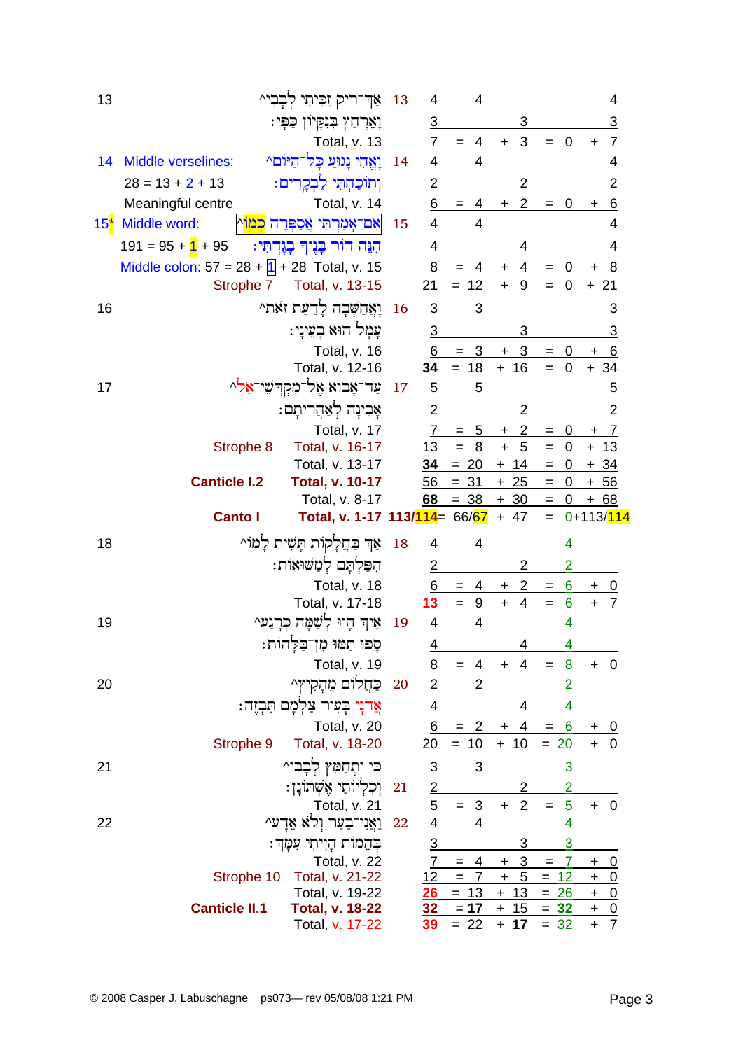| 13           |                                                 | אַד־רִיק זִכִּיתִי לְבָבִי^                    | 13        | 4              | 4                          |                             |                                 | 4                             |
|--------------|-------------------------------------------------|------------------------------------------------|-----------|----------------|----------------------------|-----------------------------|---------------------------------|-------------------------------|
|              |                                                 | וְאֶרְחַץ בְּנִקְיוֹן כַּפְּי:                 |           | $\overline{3}$ |                            | 3                           |                                 | 3                             |
|              |                                                 | <b>Total, v. 13</b>                            |           | $\overline{7}$ | 4                          | 3<br>$+$                    | $\overline{0}$                  | $\overline{7}$                |
| 14           | Middle verselines:                              | וַאֲהִי נָגוּעַ כָּל־הַיּוֹם^                  | 14        | $\overline{4}$ | 4                          |                             |                                 | 4                             |
|              | $28 = 13 + 2 + 13$                              | וִתוֹכַחְתִּי לַבְקָרִים:                      |           | $\overline{2}$ |                            | 2                           |                                 | $\overline{2}$                |
|              | Meaningful centre                               | Total, v. 14                                   |           | 6              | $= 4$                      | 2<br>$+$                    | $\overline{0}$                  | 6<br>+                        |
| $15^{\star}$ | Middle word:                                    | אָם־אָמַרְתִּי אֲסַפְּרָה <mark>כְמוֹ</mark> ן | 15        | $\overline{4}$ | 4                          |                             |                                 | 4                             |
|              | $191 = 95 + 11 + 95$                            | הִנֵּה דוֹר בְּנֶיךָ בְנְדְתִּי:               |           | 4              |                            |                             |                                 | 4                             |
|              | Middle colon: $57 = 28 +  1  + 28$ Total, v. 15 |                                                |           | 8              | $= 4$                      | 4<br>$\ddot{}$              | $\boldsymbol{0}$                | <u>_8</u>                     |
|              | Strophe 7                                       | Total, v. 13-15                                |           | 21             | $= 12$                     | $\ddot{+}$<br>9             | $\overline{0}$<br>$=$           | $+21$                         |
| 16           |                                                 | וָאֲחַשְׁבָה לְדַעַת זֹאת^                     | 16        | 3              | 3                          |                             |                                 | 3                             |
|              |                                                 | עַמַל הוּא בְעֵינַי:                           |           | $\sqrt{3}$     |                            | 3                           |                                 | 3                             |
|              |                                                 | Total, v. 16                                   |           | 6              | $\overline{3}$             | $\overline{3}$<br>$\ddot{}$ |                                 | <u>6</u>                      |
|              |                                                 | Total, v. 12-16                                |           | 34             | $= 18$                     | $+ 16$                      | $= 0$                           | $+34$                         |
| 17           |                                                 | ַעַר־אָבוֹא אֵל־מִקְדִּשֵׁי־אֵל <sup>ֶ</sup> ^ | 17        | 5              | 5                          |                             |                                 | 5                             |
|              |                                                 | אָבִינָה לְאַחֲרִיתָם:                         |           | 2              |                            | 2                           |                                 | 2                             |
|              |                                                 | Total, v. 17                                   |           | $7^{\circ}$    | $= 5$                      | 2<br>$+$                    | 0<br>$=$                        | $+ 7$                         |
|              | Strophe 8                                       | Total, v. 16-17                                |           | 13             | 8<br>$=$                   | $-5$<br>$\ddot{}$           | $\overline{\phantom{0}}$<br>$=$ | $+ 13$                        |
|              |                                                 | Total, v. 13-17                                |           | 34             | $= 20$                     | $+ 14$                      | $= 0$                           | $+34$                         |
|              | <b>Canticle I.2</b>                             | <b>Total, v. 10-17</b>                         |           | 56             | $= 31$                     | $+25$                       | $= 0$                           | <u>+ 56</u>                   |
|              |                                                 | Total, v. 8-17                                 |           | 68             | $= 38 + 30$                |                             | $= 0$                           | <u>+ 68</u>                   |
|              |                                                 |                                                |           |                |                            |                             |                                 |                               |
|              | <b>Canto I</b>                                  | Total, v. 1-17 113/114 = $66/67 + 47$          |           |                |                            |                             | $=$                             | 0+113/114                     |
| 18           |                                                 | אַךְ בַּחֲלָקוֹת תַּשִׁית לָמוֹ^               | 18        | 4              | 4                          |                             | 4                               |                               |
|              |                                                 | הִפַּלִתָּם לִמַּשׁוּאוֹת:                     |           | $\overline{2}$ |                            | 2                           | $\overline{2}$                  |                               |
|              |                                                 | Total, v. 18                                   |           | 6              | 4<br>$=$                   | $\overline{2}$<br>$+$       | 6<br>$=$                        | 0<br>$\pm$                    |
|              |                                                 | Total, v. 17-18                                |           | 13             | 9<br>$=$                   | $\ddot{}$<br>$\overline{4}$ | $6\phantom{1}6$<br>$=$          | $\overline{7}$<br>$+$         |
| 19           |                                                 | אֵיךְ הָיוּ לִשָּׁמָּה כִרָנַע^                | 19        | $\overline{4}$ | $\overline{4}$             |                             | 4                               |                               |
|              |                                                 |                                                |           | 4              |                            | 4                           | 4                               |                               |
|              |                                                 | סָפוּ תַמוּ מִן־בַּלְהוֹת:<br>Total, v. 19     |           | 8              | 4<br>$=$                   | $\overline{4}$<br>$\div$    | 8<br>$=$                        | $+ 0$                         |
| 20           |                                                 | כַחֲלוֹם מֵהָקִיץ^                             | 20        | $\overline{2}$ | $\overline{2}$             |                             | $\overline{2}$                  |                               |
|              |                                                 | אֲדנָי בָעִיר צַלְמָם תִּבְזֶה:                |           | <u>4</u>       |                            | 4                           | 4                               |                               |
|              |                                                 | Total, v. 20                                   |           | 6              | $= 2$                      | $+4$                        | 6<br>$\qquad \qquad =$          | <u>+ 0</u>                    |
|              | Strophe 9                                       | Total, v. 18-20                                |           | 20             | $= 10$                     | $+ 10$                      | $= 20$                          | $+ 0$                         |
| 21           |                                                 | כִּי יִתְחַמֵּץ לְבָבִי^                       |           | 3              | 3                          |                             | 3                               |                               |
|              |                                                 |                                                | <b>21</b> | $\overline{2}$ |                            | 2                           | 2                               |                               |
|              |                                                 | וְכִלְיוֹתֵי אֶשְׁתּוֹנָן:<br>Total, v. 21     |           | 5              | $= 3$                      | $\overline{2}$<br>$\ddot{}$ | 5<br>$=$                        | $+ 0$                         |
| 22           |                                                 | וַאֲנִי־בַעַר וְלֹא אֶדָע^                     | 22        | 4              | $\overline{4}$             |                             | 4                               |                               |
|              |                                                 | בְּהֵמוּת הָיִיתִי עִמָּךְ:                    |           | $\overline{3}$ |                            | 3                           | 3                               |                               |
|              |                                                 | Total, v. 22                                   |           | $\overline{7}$ | 4<br>$=$                   | 3<br>$\ddot{}$              | 7<br>$=$                        | <u>0</u><br>+                 |
|              | Strophe 10                                      | Total, v. 21-22                                |           | 12             | $\overline{7}$<br>$\equiv$ | 5<br>$\ddot{}$              | $= 12$                          | <u>0</u><br>$\pm$             |
|              |                                                 | Total, v. 19-22                                |           | 26             | $= 13$                     | 13<br>$+$                   | 26<br>$=$                       | $\overline{0}$<br>$+$         |
|              | <b>Canticle II.1</b>                            | <b>Total, v. 18-22</b><br>Total, v. 17-22      |           | 32<br>39       | $= 17$<br>$= 22$           | $+ 15$<br>$+ 17$            | $= 32$<br>$= 32$                | $\pm$<br>$\frac{0}{7}$<br>$+$ |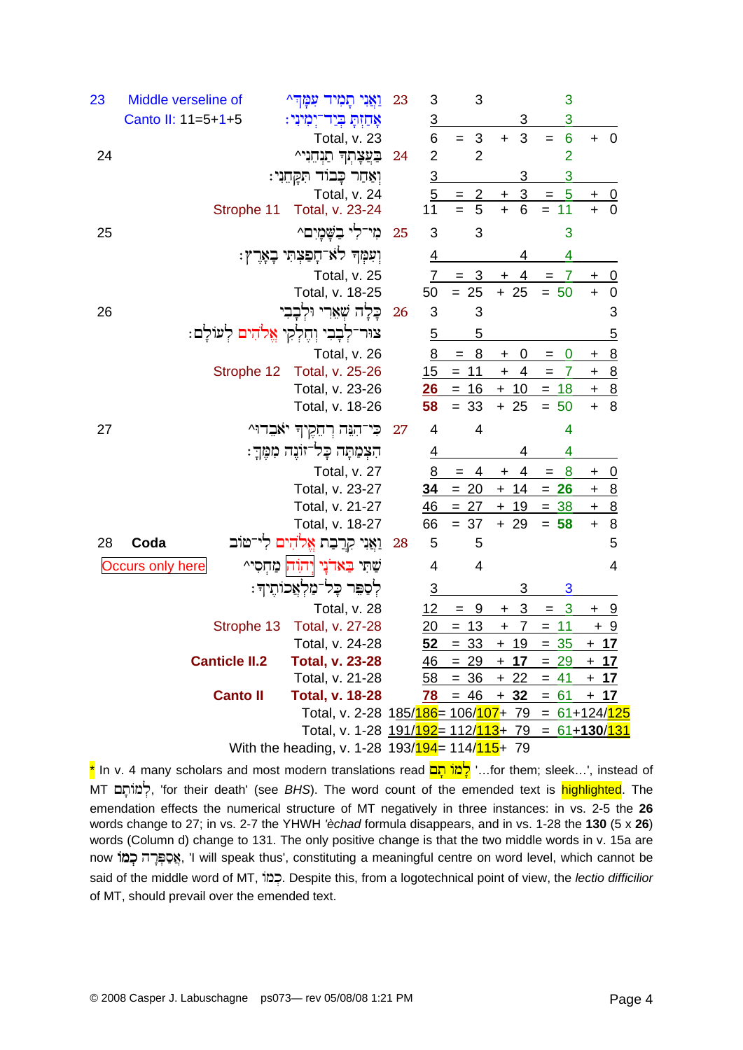| 23 | Middle verseline of     |                      | וַאֲנִי תָמִיד עִמָּֽדִּ^                            | 23   | 3              | 3                     |                             | 3                              |             |                          |
|----|-------------------------|----------------------|------------------------------------------------------|------|----------------|-----------------------|-----------------------------|--------------------------------|-------------|--------------------------|
|    | Canto II: 11=5+1+5      |                      | אָחַזִּתָּ בְּיַד־יִמִינִי:                          |      | $\overline{3}$ |                       | 3                           | 3                              |             |                          |
|    |                         |                      | Total, v. 23                                         |      | 6              | $\sqrt{3}$<br>$=$     | 3<br>$\ddot{}$              | 6<br>$=$                       | $+ 0$       |                          |
| 24 |                         |                      | בַּעֲצָתָךְ תַנְחֵנִי^                               | 24   | $\overline{2}$ | $\overline{2}$        |                             | $\overline{2}$                 |             |                          |
|    |                         |                      | וְאַחַר כָּבוּד תִּקְחֵנִי:                          |      | $\overline{3}$ |                       | 3                           | $\overline{3}$                 |             |                          |
|    |                         |                      | Total, v. 24                                         |      | $\overline{5}$ | $\overline{2}$<br>$=$ | $\overline{3}$<br>$\ddot{}$ | $-5$<br>$\qquad \qquad =$      |             | $\frac{0}{0}$            |
|    |                         | Strophe 11           | Total, v. 23-24                                      |      | 11             | 5<br>$=$              | 6<br>$\ddot{}$              | $= 11$                         | $\ddot{+}$  |                          |
| 25 |                         |                      | מי־לי בשמים^                                         | 25   | 3              | 3                     |                             | 3                              |             |                          |
|    |                         |                      | וִעִּמְךָ לֹא־חָפַצְתִּי בְאָרֶץ:                    |      | $\overline{4}$ |                       | 4                           | 4                              |             |                          |
|    |                         |                      | Total, v. 25                                         |      | 7 <sup>7</sup> | $=$ 3                 | 4<br>$\ddot{}$              | $\overline{7}$<br>$=$          | $\mathbf +$ | $\overline{\phantom{0}}$ |
|    |                         |                      | Total, v. 18-25                                      |      | 50             | $= 25$                | $+25$                       | $= 50$                         | $+$         | $\overline{\phantom{0}}$ |
| 26 |                         |                      | כָּלָה שְׁאָרִי וּלְבָבִי                            | 26   | 3              | 3                     |                             |                                |             | 3                        |
|    |                         |                      | צוּר־לְבָבִי וְחֶלְקִי אֱלֹהִים לְעוֹלָם:            |      | 5              | $\overline{5}$        |                             |                                |             | <u>5</u>                 |
|    |                         |                      | Total, v. 26                                         |      | 8              | $\mathbf{8}$<br>$=$   | $\mathbf 0$<br>$\pm$        | $\bf{0}$<br>$=$                | +           | $\overline{8}$           |
|    |                         | Strophe 12           | Total, v. 25-26                                      |      | 15             | 11<br>$=$             | $+ 4$                       | $\overline{7}$<br>$=$          | $+$         | $\overline{8}$           |
|    |                         |                      | Total, v. 23-26                                      |      | 26             | $= 16$                | $+10$                       | $= 18$                         | $+ 8$       |                          |
|    |                         |                      | Total, v. 18-26                                      |      | 58             | $= 33$                | $+25$                       | $= 50$                         | $\ddot{}$   | 8                        |
| 27 |                         |                      | כִּי־הָנֵּה רְהֵקֶיךָ יֹאבִרוּ^                      | - 27 | $\overline{4}$ | 4                     |                             | 4                              |             |                          |
|    |                         |                      | הִצְמַתָּה כָּל־זוֹנֶה מִמֶּךָ:                      |      | 4              |                       | 4                           | 4                              |             |                          |
|    |                         |                      | Total, v. 27                                         |      | 8              | 4<br>$=$              | 4<br>+                      | 8<br>$=$                       | $\mathbf +$ | <u>0</u>                 |
|    |                         |                      | Total, v. 23-27                                      |      | 34             | $= 20$                | $+ 14$                      | $= 26$                         | $+ 8$       |                          |
|    |                         |                      | Total, v. 21-27                                      |      | 46             | 27<br>$=$             | 19<br>$\ddot{}$             | 38<br>$=$                      | $+ 8$       |                          |
|    |                         |                      | Total, v. 18-27                                      |      | 66             | $= 37$                | $+29$                       | $= 58$                         | $\ddot{}$   | 8                        |
| 28 | Coda                    |                      | וַאֲנִי קִרֲבַת אֱלֹהִים לִי־טּוֹב                   | 28   | 5              | 5                     |                             |                                |             | 5                        |
|    | <b>Occurs only here</b> |                      | שִׁתִּי בַּאדֹנָי וְיהוָה מַחְסִי^                   |      | 4              | 4                     |                             |                                |             | 4                        |
|    |                         |                      | לִסָפֵּר כָּל־מַלְאֲכוֹתֵיךָ:                        |      | $\overline{3}$ |                       | 3                           | 3                              |             |                          |
|    |                         |                      | Total, v. 28                                         |      | 12             | - 9<br>$=$            | $+3$                        | $\overline{\mathbf{3}}$<br>$=$ | <u>+ 9</u>  |                          |
|    |                         | Strophe 13           | Total, v. 27-28                                      |      | $\frac{20}{2}$ | $= 13$                | $+ 7$                       | $= 11$                         | <u>+ 9</u>  |                          |
|    |                         |                      | Total, v. 24-28                                      |      | 52             | $= 33$                | $+19$                       | $= 35$                         | $+17$       |                          |
|    |                         | <b>Canticle II.2</b> | <b>Total, v. 23-28</b>                               |      | 46             | $= 29$                | $+ 17$                      | $= 29$                         | <u>+ 17</u> |                          |
|    |                         |                      | Total, v. 21-28                                      |      | 58             | $= 36$                | $+22$                       | $= 41$                         | <u>+ 17</u> |                          |
|    |                         | <b>Canto II</b>      | <b>Total, v. 18-28</b>                               |      |                |                       | $78 = 46 + 32 = 61$         |                                | $+17$       |                          |
|    |                         |                      | Total, v. 2-28 185/186= 106/107+ 79 = 61+124/125     |      |                |                       |                             |                                |             |                          |
|    |                         |                      | Total, v. 1-28 191/192 = 112/113 + 79 = 61 + 130/131 |      |                |                       |                             |                                |             |                          |
|    |                         |                      | With the heading, v. 1-28 193/194 = 114/115 + 79     |      |                |                       |                             |                                |             |                          |

\* In v. 4 many scholars and most modern translations read יָלֶמׂוֹ תָם ...for them; sleek...', instead of MT לְמוֹתָם, 'for their death' (see BHS). The word count of the emended text is highlighted. The emendation effects the numerical structure of MT negatively in three instances: in vs. 2-5 the 26 words change to 27; in vs. 2-7 the YHWH 'èchad formula disappears, and in vs. 1-28 the 130 (5 x 26) words (Column d) change to 131. The only positive change is that the two middle words in v. 15a are now אָסַפּרָה כְמוֹ will speak thus', constituting a meaningful centre on word level, which cannot be said of the middle word of MT, וכמוֹ. Despite this, from a logotechnical point of view, the lectio difficilior of MT, should prevail over the emended text.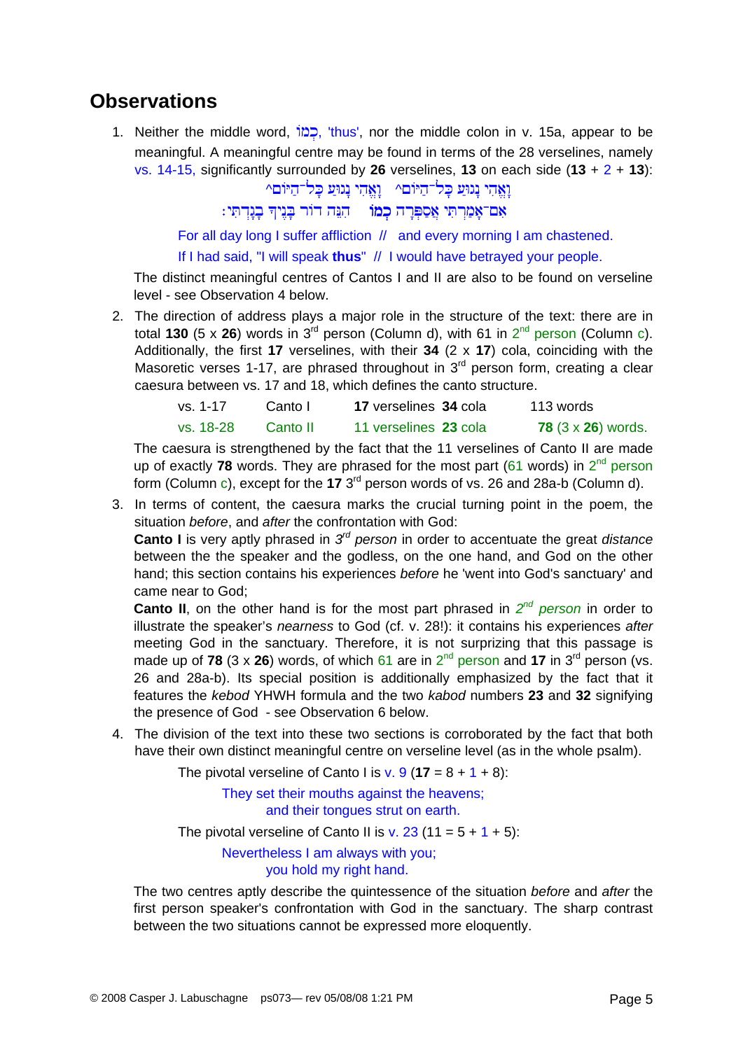#### **Observations**

1. Neither the middle word, <sup>1</sup> לֹג), 'thus', nor the middle colon in v. 15a, appear to be meaningful. A meaningful centre may be found in terms of the 28 verselines, namely vs. 14-15, significantly surrounded by **26** verselines, **13** on each side (**13** + 2 + **13**):

 $\sim$ וַאֲהִי נְגוּעַ כָּל־הַיּוֹםי וַאֲהִי נְגוּעַ כָּל־הַיּוֹם

אם־אמרתי אספרה כמו⊤ הנה דור בניה בנדתי:

For all day long I suffer affliction // and every morning I am chastened.

If I had said, "I will speak **thus**" // I would have betrayed your people.

The distinct meaningful centres of Cantos I and II are also to be found on verseline level - see Observation 4 below.

2. The direction of address plays a major role in the structure of the text: there are in total **130** (5 x **26**) words in  $3^{rd}$  person (Column d), with 61 in  $2^{nd}$  person (Column c). Additionally, the first **17** verselines, with their **34** (2 x **17**) cola, coinciding with the Masoretic verses 1-17, are phrased throughout in  $3<sup>rd</sup>$  person form, creating a clear caesura between vs. 17 and 18, which defines the canto structure.

| $vs. 1-17$ | Canto L  | 17 verselines 34 cola | 113 words                 |
|------------|----------|-----------------------|---------------------------|
| vs. 18-28  | Canto II | 11 verselines 23 cola | 78 $(3 \times 26)$ words. |

The caesura is strengthened by the fact that the 11 verselines of Canto II are made up of exactly **78** words. They are phrased for the most part (61 words) in  $2^{nd}$  person form (Column c), except for the **17** 3rd person words of vs. 26 and 28a-b (Column d).

3. In terms of content, the caesura marks the crucial turning point in the poem, the situation *before*, and *after* the confrontation with God:

**Canto I** is very aptly phrased in *3rd person* in order to accentuate the great *distance* between the the speaker and the godless, on the one hand, and God on the other hand; this section contains his experiences *before* he 'went into God's sanctuary' and came near to God;

**Canto II**, on the other hand is for the most part phrased in *2nd person* in order to illustrate the speaker's *nearness* to God (cf. v. 28!): it contains his experiences *after* meeting God in the sanctuary. Therefore, it is not surprizing that this passage is made up of **78** (3 x **26**) words, of which 61 are in  $2^{nd}$  person and 17 in 3<sup>rd</sup> person (vs. 26 and 28a-b). Its special position is additionally emphasized by the fact that it features the *kebod* YHWH formula and the two *kabod* numbers **23** and **32** signifying the presence of God - see Observation 6 below.

4. The division of the text into these two sections is corroborated by the fact that both have their own distinct meaningful centre on verseline level (as in the whole psalm).

The pivotal verseline of Canto I is  $v. 9 (17 = 8 + 1 + 8)$ :

 They set their mouths against the heavens; and their tongues strut on earth.

The pivotal verseline of Canto II is v.  $23$  (11 =  $5 + 1 + 5$ ):

 Nevertheless I am always with you; you hold my right hand.

The two centres aptly describe the quintessence of the situation *before* and *after* the first person speaker's confrontation with God in the sanctuary. The sharp contrast between the two situations cannot be expressed more eloquently.